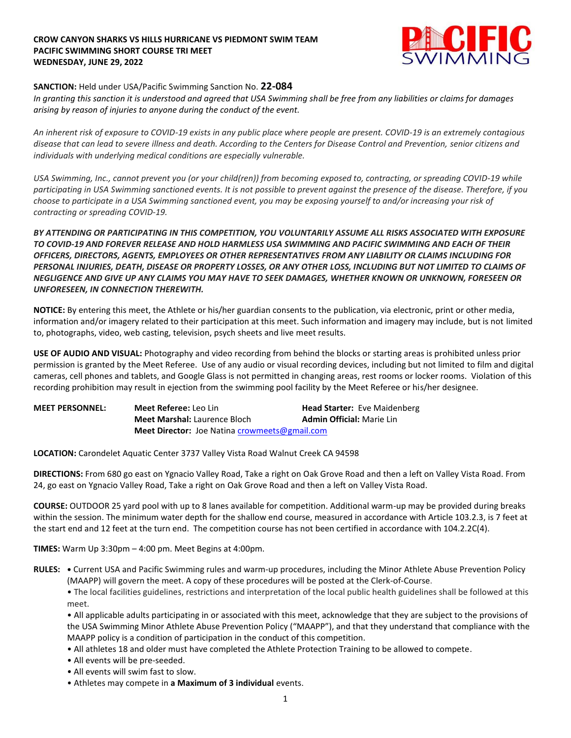## **CROW CANYON SHARKS VS HILLS HURRICANE VS PIEDMONT SWIM TEAM PACIFIC SWIMMING SHORT COURSE TRI MEET WEDNESDAY, JUNE 29, 2022**



## **SANCTION:** Held under USA/Pacific Swimming Sanction No. **22-084**

*In granting this sanction it is understood and agreed that USA Swimming shall be free from any liabilities or claims for damages arising by reason of injuries to anyone during the conduct of the event.* 

*An inherent risk of exposure to COVID-19 exists in any public place where people are present. COVID-19 is an extremely contagious disease that can lead to severe illness and death. According to the Centers for Disease Control and Prevention, senior citizens and individuals with underlying medical conditions are especially vulnerable.*

*USA Swimming, Inc., cannot prevent you (or your child(ren)) from becoming exposed to, contracting, or spreading COVID-19 while participating in USA Swimming sanctioned events. It is not possible to prevent against the presence of the disease. Therefore, if you choose to participate in a USA Swimming sanctioned event, you may be exposing yourself to and/or increasing your risk of contracting or spreading COVID-19.*

*BY ATTENDING OR PARTICIPATING IN THIS COMPETITION, YOU VOLUNTARILY ASSUME ALL RISKS ASSOCIATED WITH EXPOSURE TO COVID-19 AND FOREVER RELEASE AND HOLD HARMLESS USA SWIMMING AND PACIFIC SWIMMING AND EACH OF THEIR OFFICERS, DIRECTORS, AGENTS, EMPLOYEES OR OTHER REPRESENTATIVES FROM ANY LIABILITY OR CLAIMS INCLUDING FOR PERSONAL INJURIES, DEATH, DISEASE OR PROPERTY LOSSES, OR ANY OTHER LOSS, INCLUDING BUT NOT LIMITED TO CLAIMS OF NEGLIGENCE AND GIVE UP ANY CLAIMS YOU MAY HAVE TO SEEK DAMAGES, WHETHER KNOWN OR UNKNOWN, FORESEEN OR UNFORESEEN, IN CONNECTION THEREWITH.*

**NOTICE:** By entering this meet, the Athlete or his/her guardian consents to the publication, via electronic, print or other media, information and/or imagery related to their participation at this meet. Such information and imagery may include, but is not limited to, photographs, video, web casting, television, psych sheets and live meet results.

**USE OF AUDIO AND VISUAL:** Photography and video recording from behind the blocks or starting areas is prohibited unless prior permission is granted by the Meet Referee. Use of any audio or visual recording devices, including but not limited to film and digital cameras, cell phones and tablets, and Google Glass is not permitted in changing areas, rest rooms or locker rooms. Violation of this recording prohibition may result in ejection from the swimming pool facility by the Meet Referee or his/her designee.

| <b>MEET PERSONNEL:</b> | Meet Referee: Leo Lin                                       | <b>Head Starter:</b> Eve Maidenberg |
|------------------------|-------------------------------------------------------------|-------------------------------------|
|                        | <b>Meet Marshal:</b> Laurence Bloch                         | <b>Admin Official: Marie Lin</b>    |
|                        | <b>Meet Director:</b> Joe Natina <i>crowmeets@gmail.com</i> |                                     |

**LOCATION:** Carondelet Aquatic Center 3737 Valley Vista Road Walnut Creek CA 94598

**DIRECTIONS:** From 680 go east on Ygnacio Valley Road, Take a right on Oak Grove Road and then a left on Valley Vista Road. From 24, go east on Ygnacio Valley Road, Take a right on Oak Grove Road and then a left on Valley Vista Road.

**COURSE:** OUTDOOR 25 yard pool with up to 8 lanes available for competition. Additional warm-up may be provided during breaks within the session. The minimum water depth for the shallow end course, measured in accordance with Article 103.2.3, is 7 feet at the start end and 12 feet at the turn end. The competition course has not been certified in accordance with 104.2.2C(4).

**TIMES:** Warm Up 3:30pm – 4:00 pm. Meet Begins at 4:00pm.

**RULES: •** Current USA and Pacific Swimming rules and warm-up procedures, including the Minor Athlete Abuse Prevention Policy (MAAPP) will govern the meet. A copy of these procedures will be posted at the Clerk-of-Course.

• The local facilities guidelines, restrictions and interpretation of the local public health guidelines shall be followed at this meet.

• All applicable adults participating in or associated with this meet, acknowledge that they are subject to the provisions of the USA Swimming Minor Athlete Abuse Prevention Policy ("MAAPP"), and that they understand that compliance with the MAAPP policy is a condition of participation in the conduct of this competition.

- All athletes 18 and older must have completed the Athlete Protection Training to be allowed to compete.
- All events will be pre-seeded.
- All events will swim fast to slow.
- Athletes may compete in **a Maximum of 3 individual** events.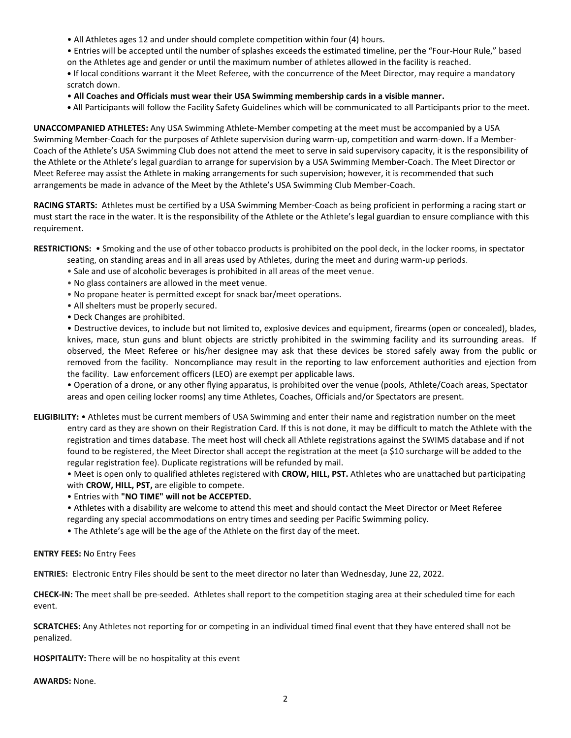- All Athletes ages 12 and under should complete competition within four (4) hours.
- Entries will be accepted until the number of splashes exceeds the estimated timeline, per the "Four-Hour Rule," based
- on the Athletes age and gender or until the maximum number of athletes allowed in the facility is reached.

**•** If local conditions warrant it the Meet Referee, with the concurrence of the Meet Director, may require a mandatory scratch down.

- **All Coaches and Officials must wear their USA Swimming membership cards in a visible manner.**
- **•** All Participants will follow the Facility Safety Guidelines which will be communicated to all Participants prior to the meet.

**UNACCOMPANIED ATHLETES:** Any USA Swimming Athlete-Member competing at the meet must be accompanied by a USA Swimming Member-Coach for the purposes of Athlete supervision during warm-up, competition and warm-down. If a Member-Coach of the Athlete's USA Swimming Club does not attend the meet to serve in said supervisory capacity, it is the responsibility of the Athlete or the Athlete's legal guardian to arrange for supervision by a USA Swimming Member-Coach. The Meet Director or Meet Referee may assist the Athlete in making arrangements for such supervision; however, it is recommended that such arrangements be made in advance of the Meet by the Athlete's USA Swimming Club Member-Coach.

**RACING STARTS:** Athletes must be certified by a USA Swimming Member-Coach as being proficient in performing a racing start or must start the race in the water. It is the responsibility of the Athlete or the Athlete's legal guardian to ensure compliance with this requirement.

**RESTRICTIONS:** • Smoking and the use of other tobacco products is prohibited on the pool deck, in the locker rooms, in spectator

- seating, on standing areas and in all areas used by Athletes, during the meet and during warm-up periods.
- Sale and use of alcoholic beverages is prohibited in all areas of the meet venue.
- No glass containers are allowed in the meet venue.
- No propane heater is permitted except for snack bar/meet operations.
- All shelters must be properly secured.
- Deck Changes are prohibited.

• Destructive devices, to include but not limited to, explosive devices and equipment, firearms (open or concealed), blades, knives, mace, stun guns and blunt objects are strictly prohibited in the swimming facility and its surrounding areas. If observed, the Meet Referee or his/her designee may ask that these devices be stored safely away from the public or removed from the facility. Noncompliance may result in the reporting to law enforcement authorities and ejection from the facility. Law enforcement officers (LEO) are exempt per applicable laws.

• Operation of a drone, or any other flying apparatus, is prohibited over the venue (pools, Athlete/Coach areas, Spectator areas and open ceiling locker rooms) any time Athletes, Coaches, Officials and/or Spectators are present.

**ELIGIBILITY:** • Athletes must be current members of USA Swimming and enter their name and registration number on the meet entry card as they are shown on their Registration Card. If this is not done, it may be difficult to match the Athlete with the registration and times database. The meet host will check all Athlete registrations against the SWIMS database and if not found to be registered, the Meet Director shall accept the registration at the meet (a \$10 surcharge will be added to the regular registration fee). Duplicate registrations will be refunded by mail.

• Meet is open only to qualified athletes registered with **CROW, HILL, PST.** Athletes who are unattached but participating with **CROW, HILL, PST,** are eligible to compete.

- Entries with **"NO TIME" will not be ACCEPTED.**
- Athletes with a disability are welcome to attend this meet and should contact the Meet Director or Meet Referee regarding any special accommodations on entry times and seeding per Pacific Swimming policy.
- The Athlete's age will be the age of the Athlete on the first day of the meet.

## **ENTRY FEES:** No Entry Fees

**ENTRIES:** Electronic Entry Files should be sent to the meet director no later than Wednesday, June 22, 2022.

**CHECK-IN:** The meet shall be pre-seeded. Athletes shall report to the competition staging area at their scheduled time for each event.

**SCRATCHES:** Any Athletes not reporting for or competing in an individual timed final event that they have entered shall not be penalized.

**HOSPITALITY:** There will be no hospitality at this event

**AWARDS:** None.